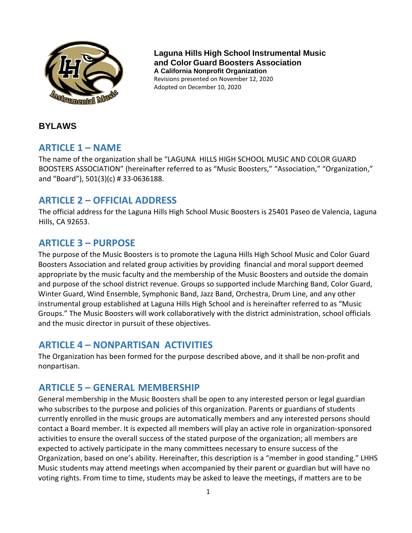

**Laguna Hills High School Instrumental Music and Color Guard Boosters Association A California Nonprofit Organization** Revisions presented on November 12, 2020 Adopted on December 10, 2020

## **BYLAWS**

# **ARTICLE 1 – NAME**

The name of the organization shall be "LAGUNA HILLS HIGH SCHOOL MUSIC AND COLOR GUARD BOOSTERS ASSOCIATION" (hereinafter referred to as "Music Boosters," "Association," "Organization," and "Board"), 501(3)(c) # 33-0636188.

# **ARTICLE 2 – OFFICIAL ADDRESS**

The official address for the Laguna Hills High School Music Boosters is 25401 Paseo de Valencia, Laguna Hills, CA 92653.

# **ARTICLE 3 – PURPOSE**

The purpose of the Music Boosters is to promote the Laguna Hills High School Music and Color Guard Boosters Association and related group activities by providing financial and moral support deemed appropriate by the music faculty and the membership of the Music Boosters and outside the domain and purpose of the school district revenue. Groups so supported include Marching Band, Color Guard, Winter Guard, Wind Ensemble, Symphonic Band, Jazz Band, Orchestra, Drum Line, and any other instrumental group established at Laguna Hills High School and is hereinafter referred to as "Music Groups." The Music Boosters will work collaboratively with the district administration, school officials and the music director in pursuit of these objectives.

# **ARTICLE 4 – NONPARTISAN ACTIVITIES**

The Organization has been formed for the purpose described above, and it shall be non-profit and nonpartisan.

# **ARTICLE 5 – GENERAL MEMBERSHIP**

General membership in the Music Boosters shall be open to any interested person or legal guardian who subscribes to the purpose and policies of this organization. Parents or guardians of students currently enrolled in the music groups are automatically members and any interested persons should contact a Board member. It is expected all members will play an active role in organization-sponsored activities to ensure the overall success of the stated purpose of the organization; all members are expected to actively participate in the many committees necessary to ensure success of the Organization, based on one's ability. Hereinafter, this description is a "member in good standing." LHHS Music students may attend meetings when accompanied by their parent or guardian but will have no voting rights. From time to time, students may be asked to leave the meetings, if matters are to be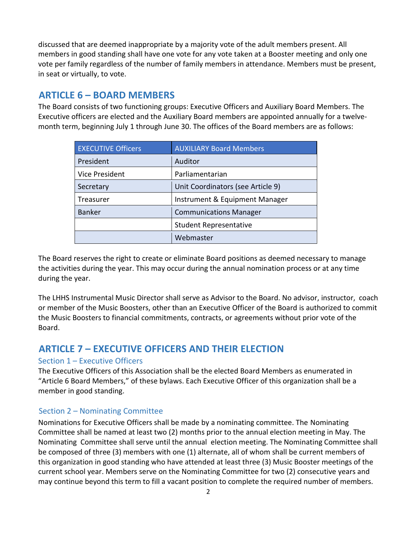discussed that are deemed inappropriate by a majority vote of the adult members present. All members in good standing shall have one vote for any vote taken at a Booster meeting and only one vote per family regardless of the number of family members in attendance. Members must be present, in seat or virtually, to vote.

# **ARTICLE 6 – BOARD MEMBERS**

The Board consists of two functioning groups: Executive Officers and Auxiliary Board Members. The Executive officers are elected and the Auxiliary Board members are appointed annually for a twelvemonth term, beginning July 1 through June 30. The offices of the Board members are as follows:

| <b>EXECUTIVE Officers</b> | <b>AUXILIARY Board Members</b>    |
|---------------------------|-----------------------------------|
| President                 | Auditor                           |
| <b>Vice President</b>     | Parliamentarian                   |
| Secretary                 | Unit Coordinators (see Article 9) |
| Treasurer                 | Instrument & Equipment Manager    |
| <b>Banker</b>             | <b>Communications Manager</b>     |
|                           | <b>Student Representative</b>     |
|                           | Webmaster                         |

The Board reserves the right to create or eliminate Board positions as deemed necessary to manage the activities during the year. This may occur during the annual nomination process or at any time during the year.

The LHHS Instrumental Music Director shall serve as Advisor to the Board. No advisor, instructor, coach or member of the Music Boosters, other than an Executive Officer of the Board is authorized to commit the Music Boosters to financial commitments, contracts, or agreements without prior vote of the Board.

# **ARTICLE 7 – EXECUTIVE OFFICERS AND THEIR ELECTION**

# Section 1 – Executive Officers

The Executive Officers of this Association shall be the elected Board Members as enumerated in "Article 6 Board Members," of these bylaws. Each Executive Officer of this organization shall be a member in good standing.

# Section 2 – Nominating Committee

Nominations for Executive Officers shall be made by a nominating committee. The Nominating Committee shall be named at least two (2) months prior to the annual election meeting in May. The Nominating Committee shall serve until the annual election meeting. The Nominating Committee shall be composed of three (3) members with one (1) alternate, all of whom shall be current members of this organization in good standing who have attended at least three (3) Music Booster meetings of the current school year. Members serve on the Nominating Committee for two (2) consecutive years and may continue beyond this term to fill a vacant position to complete the required number of members.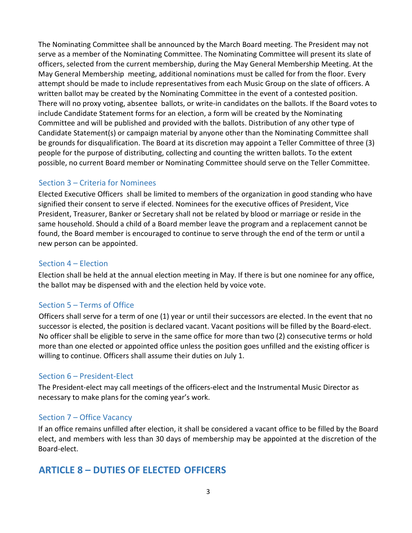The Nominating Committee shall be announced by the March Board meeting. The President may not serve as a member of the Nominating Committee. The Nominating Committee will present its slate of officers, selected from the current membership, during the May General Membership Meeting. At the May General Membership meeting, additional nominations must be called for from the floor. Every attempt should be made to include representatives from each Music Group on the slate of officers. A written ballot may be created by the Nominating Committee in the event of a contested position. There will no proxy voting, absentee ballots, or write-in candidates on the ballots. If the Board votes to include Candidate Statement forms for an election, a form will be created by the Nominating Committee and will be published and provided with the ballots. Distribution of any other type of Candidate Statement(s) or campaign material by anyone other than the Nominating Committee shall be grounds for disqualification. The Board at its discretion may appoint a Teller Committee of three (3) people for the purpose of distributing, collecting and counting the written ballots. To the extent possible, no current Board member or Nominating Committee should serve on the Teller Committee.

# Section 3 – Criteria for Nominees

Elected Executive Officers shall be limited to members of the organization in good standing who have signified their consent to serve if elected. Nominees for the executive offices of President, Vice President, Treasurer, Banker or Secretary shall not be related by blood or marriage or reside in the same household. Should a child of a Board member leave the program and a replacement cannot be found, the Board member is encouraged to continue to serve through the end of the term or until a new person can be appointed.

### Section 4 – Election

Election shall be held at the annual election meeting in May. If there is but one nominee for any office, the ballot may be dispensed with and the election held by voice vote.

# Section 5 – Terms of Office

Officers shall serve for a term of one (1) year or until their successors are elected. In the event that no successor is elected, the position is declared vacant. Vacant positions will be filled by the Board-elect. No officer shall be eligible to serve in the same office for more than two (2) consecutive terms or hold more than one elected or appointed office unless the position goes unfilled and the existing officer is willing to continue. Officers shall assume their duties on July 1.

# Section 6 – President-Elect

The President-elect may call meetings of the officers-elect and the Instrumental Music Director as necessary to make plans for the coming year's work.

### Section 7 – Office Vacancy

If an office remains unfilled after election, it shall be considered a vacant office to be filled by the Board elect, and members with less than 30 days of membership may be appointed at the discretion of the Board-elect.

# **ARTICLE 8 – DUTIES OF ELECTED OFFICERS**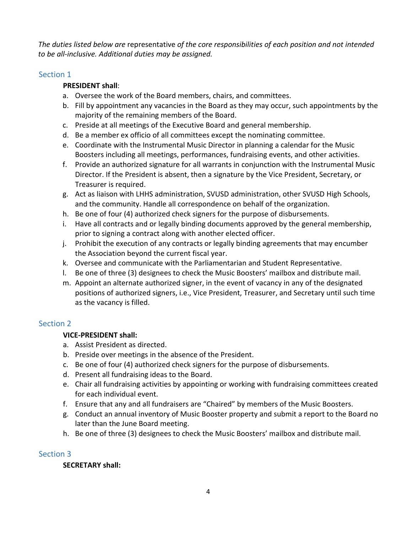*The duties listed below are* representative *of the core responsibilities of each position and not intended to be all-inclusive. Additional duties may be assigned.*

### Section 1

### **PRESIDENT shall**:

- a. Oversee the work of the Board members, chairs, and committees.
- b. Fill by appointment any vacancies in the Board as they may occur, such appointments by the majority of the remaining members of the Board.
- c. Preside at all meetings of the Executive Board and general membership.
- d. Be a member ex officio of all committees except the nominating committee.
- e. Coordinate with the Instrumental Music Director in planning a calendar for the Music Boosters including all meetings, performances, fundraising events, and other activities.
- f. Provide an authorized signature for all warrants in conjunction with the Instrumental Music Director. If the President is absent, then a signature by the Vice President, Secretary, or Treasurer is required.
- g. Act as liaison with LHHS administration, SVUSD administration, other SVUSD High Schools, and the community. Handle all correspondence on behalf of the organization.
- h. Be one of four (4) authorized check signers for the purpose of disbursements.
- i. Have all contracts and or legally binding documents approved by the general membership, prior to signing a contract along with another elected officer.
- j. Prohibit the execution of any contracts or legally binding agreements that may encumber the Association beyond the current fiscal year.
- k. Oversee and communicate with the Parliamentarian and Student Representative.
- l. Be one of three (3) designees to check the Music Boosters' mailbox and distribute mail.
- m. Appoint an alternate authorized signer, in the event of vacancy in any of the designated positions of authorized signers, i.e., Vice President, Treasurer, and Secretary until such time as the vacancy is filled.

# Section 2

# **VICE-PRESIDENT shall:**

- a. Assist President as directed.
- b. Preside over meetings in the absence of the President.
- c. Be one of four (4) authorized check signers for the purpose of disbursements.
- d. Present all fundraising ideas to the Board.
- e. Chair all fundraising activities by appointing or working with fundraising committees created for each individual event.
- f. Ensure that any and all fundraisers are "Chaired" by members of the Music Boosters.
- g. Conduct an annual inventory of Music Booster property and submit a report to the Board no later than the June Board meeting.
- h. Be one of three (3) designees to check the Music Boosters' mailbox and distribute mail.

# Section 3

### **SECRETARY shall:**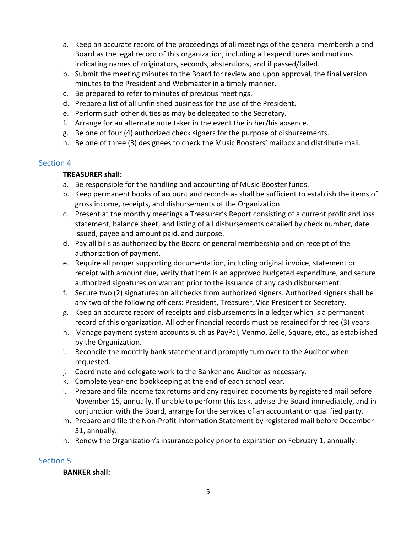- a. Keep an accurate record of the proceedings of all meetings of the general membership and Board as the legal record of this organization, including all expenditures and motions indicating names of originators, seconds, abstentions, and if passed/failed.
- b. Submit the meeting minutes to the Board for review and upon approval, the final version minutes to the President and Webmaster in a timely manner.
- c. Be prepared to refer to minutes of previous meetings.
- d. Prepare a list of all unfinished business for the use of the President.
- e. Perform such other duties as may be delegated to the Secretary.
- f. Arrange for an alternate note taker in the event the in her/his absence.
- g. Be one of four (4) authorized check signers for the purpose of disbursements.
- h. Be one of three (3) designees to check the Music Boosters' mailbox and distribute mail.

### Section 4

### **TREASURER shall:**

- a. Be responsible for the handling and accounting of Music Booster funds.
- b. Keep permanent books of account and records as shall be sufficient to establish the items of gross income, receipts, and disbursements of the Organization.
- c. Present at the monthly meetings a Treasurer's Report consisting of a current profit and loss statement, balance sheet, and listing of all disbursements detailed by check number, date issued, payee and amount paid, and purpose.
- d. Pay all bills as authorized by the Board or general membership and on receipt of the authorization of payment.
- e. Require all proper supporting documentation, including original invoice, statement or receipt with amount due, verify that item is an approved budgeted expenditure, and secure authorized signatures on warrant prior to the issuance of any cash disbursement.
- f. Secure two (2) signatures on all checks from authorized signers. Authorized signers shall be any two of the following officers: President, Treasurer, Vice President or Secretary.
- g. Keep an accurate record of receipts and disbursements in a ledger which is a permanent record of this organization. All other financial records must be retained for three (3) years.
- h. Manage payment system accounts such as PayPal, Venmo, Zelle, Square, etc., as established by the Organization.
- i. Reconcile the monthly bank statement and promptly turn over to the Auditor when requested.
- j. Coordinate and delegate work to the Banker and Auditor as necessary.
- k. Complete year-end bookkeeping at the end of each school year.
- l. Prepare and file income tax returns and any required documents by registered mail before November 15, annually. If unable to perform this task, advise the Board immediately, and in conjunction with the Board, arrange for the services of an accountant or qualified party.
- m. Prepare and file the Non-Profit Information Statement by registered mail before December 31, annually.
- n. Renew the Organization's insurance policy prior to expiration on February 1, annually.

# Section 5

### **BANKER shall:**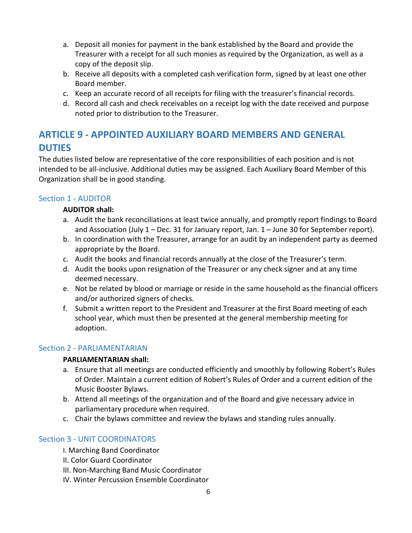- a. Deposit all monies for payment in the bank established by the Board and provide the Treasurer with a receipt for all such monies as required by the Organization, as well as a copy of the deposit slip.
- b. Receive all deposits with a completed cash verification form, signed by at least one other Board member.
- c. Keep an accurate record of all receipts for filing with the treasurer's financial records.
- d. Record all cash and check receivables on a receipt log with the date received and purpose noted prior to distribution to the Treasurer.

# **ARTICLE 9 - APPOINTED AUXILIARY BOARD MEMBERS AND GENERAL DUTIES**

The duties listed below are representative of the core responsibilities of each position and is not intended to be all-inclusive. Additional duties may be assigned. Each Auxiliary Board Member of this Organization shall be in good standing.

### Section 1 - AUDITOR

### **AUDITOR shall:**

- a. Audit the bank reconciliations at least twice annually, and promptly report findings to Board and Association (July 1 – Dec. 31 for January report, Jan. 1 – June 30 for September report).
- b. In coordination with the Treasurer, arrange for an audit by an independent party as deemed appropriate by the Board.
- c. Audit the books and financial records annually at the close of the Treasurer's term.
- d. Audit the books upon resignation of the Treasurer or any check signer and at any time deemed necessary.
- e. Not be related by blood or marriage or reside in the same household as the financial officers and/or authorized signers of checks.
- f. Submit a written report to the President and Treasurer at the first Board meeting of each school year, which must then be presented at the general membership meeting for adoption.

### Section 2 - PARLIAMENTARIAN

### **PARLIAMENTARIAN shall:**

- a. Ensure that all meetings are conducted efficiently and smoothly by following Robert's Rules of Order. Maintain a current edition of Robert's Rules of Order and a current edition of the Music Booster Bylaws.
- b. Attend all meetings of the organization and of the Board and give necessary advice in parliamentary procedure when required.
- c. Chair the bylaws committee and review the bylaws and standing rules annually.

# Section 3 - UNIT COORDINATORS

- I. Marching Band Coordinator
- II. Color Guard Coordinator
- III. Non-Marching Band Music Coordinator
- IV. Winter Percussion Ensemble Coordinator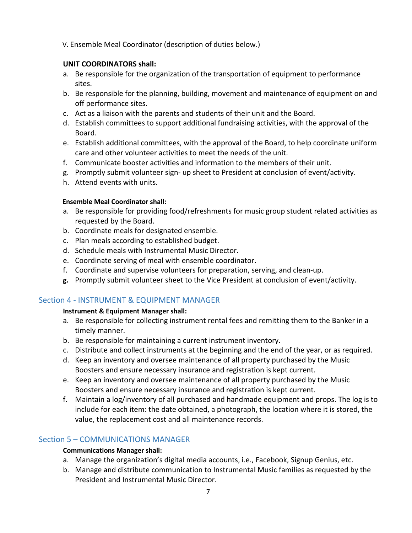V. Ensemble Meal Coordinator (description of duties below.)

### **UNIT COORDINATORS shall:**

- a. Be responsible for the organization of the transportation of equipment to performance sites.
- b. Be responsible for the planning, building, movement and maintenance of equipment on and off performance sites.
- c. Act as a liaison with the parents and students of their unit and the Board.
- d. Establish committees to support additional fundraising activities, with the approval of the Board.
- e. Establish additional committees, with the approval of the Board, to help coordinate uniform care and other volunteer activities to meet the needs of the unit.
- f. Communicate booster activities and information to the members of their unit.
- g. Promptly submit volunteer sign- up sheet to President at conclusion of event/activity.
- h. Attend events with units.

#### **Ensemble Meal Coordinator shall:**

- a. Be responsible for providing food/refreshments for music group student related activities as requested by the Board.
- b. Coordinate meals for designated ensemble.
- c. Plan meals according to established budget.
- d. Schedule meals with Instrumental Music Director.
- e. Coordinate serving of meal with ensemble coordinator.
- f. Coordinate and supervise volunteers for preparation, serving, and clean-up.
- **g.** Promptly submit volunteer sheet to the Vice President at conclusion of event/activity.

### Section 4 - INSTRUMENT & EQUIPMENT MANAGER

#### **Instrument & Equipment Manager shall:**

- a. Be responsible for collecting instrument rental fees and remitting them to the Banker in a timely manner.
- b. Be responsible for maintaining a current instrument inventory.
- c. Distribute and collect instruments at the beginning and the end of the year, or as required.
- d. Keep an inventory and oversee maintenance of all property purchased by the Music Boosters and ensure necessary insurance and registration is kept current.
- e. Keep an inventory and oversee maintenance of all property purchased by the Music Boosters and ensure necessary insurance and registration is kept current.
- f. Maintain a log/inventory of all purchased and handmade equipment and props. The log is to include for each item: the date obtained, a photograph, the location where it is stored, the value, the replacement cost and all maintenance records.

### Section 5 – COMMUNICATIONS MANAGER

#### **Communications Manager shall:**

- a. Manage the organization's digital media accounts, i.e., Facebook, Signup Genius, etc.
- b. Manage and distribute communication to Instrumental Music families as requested by the President and Instrumental Music Director.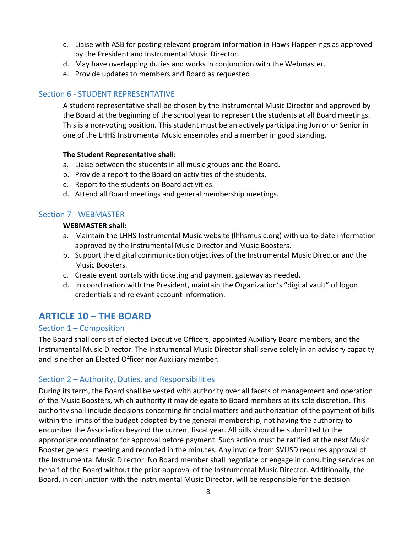- c. Liaise with ASB for posting relevant program information in Hawk Happenings as approved by the President and Instrumental Music Director.
- d. May have overlapping duties and works in conjunction with the Webmaster.
- e. Provide updates to members and Board as requested.

### Section 6 - STUDENT REPRESENTATIVE

A student representative shall be chosen by the Instrumental Music Director and approved by the Board at the beginning of the school year to represent the students at all Board meetings. This is a non-voting position. This student must be an actively participating Junior or Senior in one of the LHHS Instrumental Music ensembles and a member in good standing.

#### **The Student Representative shall:**

- a. Liaise between the students in all music groups and the Board.
- b. Provide a report to the Board on activities of the students.
- c. Report to the students on Board activities.
- d. Attend all Board meetings and general membership meetings.

#### Section 7 - WEBMASTER

#### **WEBMASTER shall:**

- a. Maintain the LHHS Instrumental Music website (lhhsmusic.org) with up-to-date information approved by the Instrumental Music Director and Music Boosters.
- b. Support the digital communication objectives of the Instrumental Music Director and the Music Boosters.
- c. Create event portals with ticketing and payment gateway as needed.
- d. In coordination with the President, maintain the Organization's "digital vault" of logon credentials and relevant account information.

# **ARTICLE 10 – THE BOARD**

### Section 1 – Composition

The Board shall consist of elected Executive Officers, appointed Auxiliary Board members, and the Instrumental Music Director. The Instrumental Music Director shall serve solely in an advisory capacity and is neither an Elected Officer nor Auxiliary member.

### Section 2 – Authority, Duties, and Responsibilities

During its term, the Board shall be vested with authority over all facets of management and operation of the Music Boosters, which authority it may delegate to Board members at its sole discretion. This authority shall include decisions concerning financial matters and authorization of the payment of bills within the limits of the budget adopted by the general membership, not having the authority to encumber the Association beyond the current fiscal year. All bills should be submitted to the appropriate coordinator for approval before payment. Such action must be ratified at the next Music Booster general meeting and recorded in the minutes. Any invoice from SVUSD requires approval of the Instrumental Music Director. No Board member shall negotiate or engage in consulting services on behalf of the Board without the prior approval of the Instrumental Music Director. Additionally, the Board, in conjunction with the Instrumental Music Director, will be responsible for the decision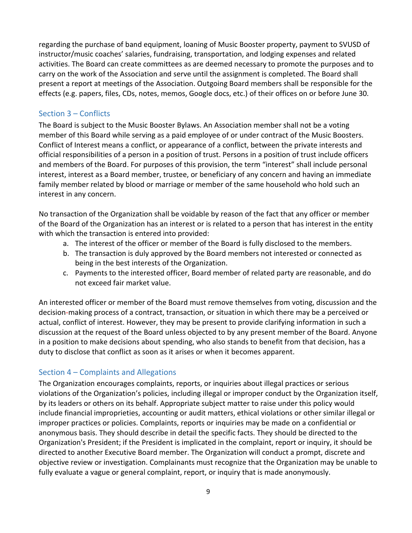regarding the purchase of band equipment, loaning of Music Booster property, payment to SVUSD of instructor/music coaches' salaries, fundraising, transportation, and lodging expenses and related activities. The Board can create committees as are deemed necessary to promote the purposes and to carry on the work of the Association and serve until the assignment is completed. The Board shall present a report at meetings of the Association. Outgoing Board members shall be responsible for the effects (e.g. papers, files, CDs, notes, memos, Google docs, etc.) of their offices on or before June 30.

### Section 3 – Conflicts

The Board is subject to the Music Booster Bylaws. An Association member shall not be a voting member of this Board while serving as a paid employee of or under contract of the Music Boosters. Conflict of Interest means a conflict, or appearance of a conflict, between the private interests and official responsibilities of a person in a position of trust. Persons in a position of trust include officers and members of the Board. For purposes of this provision, the term "interest" shall include personal interest, interest as a Board member, trustee, or beneficiary of any concern and having an immediate family member related by blood or marriage or member of the same household who hold such an interest in any concern.

No transaction of the Organization shall be voidable by reason of the fact that any officer or member of the Board of the Organization has an interest or is related to a person that has interest in the entity with which the transaction is entered into provided:

- a. The interest of the officer or member of the Board is fully disclosed to the members.
- b. The transaction is duly approved by the Board members not interested or connected as being in the best interests of the Organization.
- c. Payments to the interested officer, Board member of related party are reasonable, and do not exceed fair market value.

An interested officer or member of the Board must remove themselves from voting, discussion and the decision-making process of a contract, transaction, or situation in which there may be a perceived or actual, conflict of interest. However, they may be present to provide clarifying information in such a discussion at the request of the Board unless objected to by any present member of the Board. Anyone in a position to make decisions about spending, who also stands to benefit from that decision, has a duty to disclose that conflict as soon as it arises or when it becomes apparent.

### Section 4 – Complaints and Allegations

The Organization encourages complaints, reports, or inquiries about illegal practices or serious violations of the Organization's policies, including illegal or improper conduct by the Organization itself, by its leaders or others on its behalf. Appropriate subject matter to raise under this policy would include financial improprieties, accounting or audit matters, ethical violations or other similar illegal or improper practices or policies. Complaints, reports or inquiries may be made on a confidential or anonymous basis. They should describe in detail the specific facts. They should be directed to the Organization's President; if the President is implicated in the complaint, report or inquiry, it should be directed to another Executive Board member. The Organization will conduct a prompt, discrete and objective review or investigation. Complainants must recognize that the Organization may be unable to fully evaluate a vague or general complaint, report, or inquiry that is made anonymously.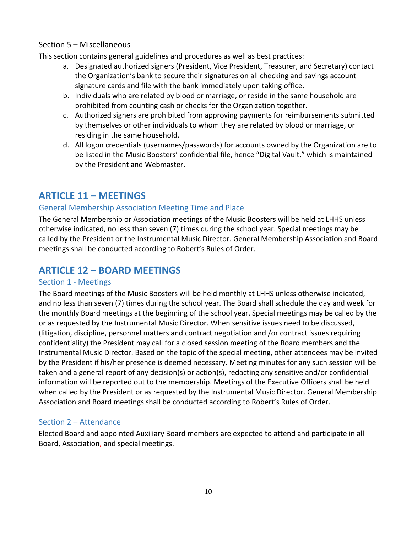### Section 5 – Miscellaneous

This section contains general guidelines and procedures as well as best practices:

- a. Designated authorized signers (President, Vice President, Treasurer, and Secretary) contact the Organization's bank to secure their signatures on all checking and savings account signature cards and file with the bank immediately upon taking office.
- b. Individuals who are related by blood or marriage, or reside in the same household are prohibited from counting cash or checks for the Organization together.
- c. Authorized signers are prohibited from approving payments for reimbursements submitted by themselves or other individuals to whom they are related by blood or marriage, or residing in the same household.
- d. All logon credentials (usernames/passwords) for accounts owned by the Organization are to be listed in the Music Boosters' confidential file, hence "Digital Vault," which is maintained by the President and Webmaster.

# **ARTICLE 11 – MEETINGS**

# General Membership Association Meeting Time and Place

The General Membership or Association meetings of the Music Boosters will be held at LHHS unless otherwise indicated, no less than seven (7) times during the school year. Special meetings may be called by the President or the Instrumental Music Director. General Membership Association and Board meetings shall be conducted according to Robert's Rules of Order.

# **ARTICLE 12 – BOARD MEETINGS**

### Section 1 - Meetings

The Board meetings of the Music Boosters will be held monthly at LHHS unless otherwise indicated, and no less than seven (7) times during the school year. The Board shall schedule the day and week for the monthly Board meetings at the beginning of the school year. Special meetings may be called by the or as requested by the Instrumental Music Director. When sensitive issues need to be discussed, (litigation, discipline, personnel matters and contract negotiation and /or contract issues requiring confidentiality) the President may call for a closed session meeting of the Board members and the Instrumental Music Director. Based on the topic of the special meeting, other attendees may be invited by the President if his/her presence is deemed necessary. Meeting minutes for any such session will be taken and a general report of any decision(s) or action(s), redacting any sensitive and/or confidential information will be reported out to the membership. Meetings of the Executive Officers shall be held when called by the President or as requested by the Instrumental Music Director. General Membership Association and Board meetings shall be conducted according to Robert's Rules of Order.

# Section 2 – Attendance

Elected Board and appointed Auxiliary Board members are expected to attend and participate in all Board, Association, and special meetings.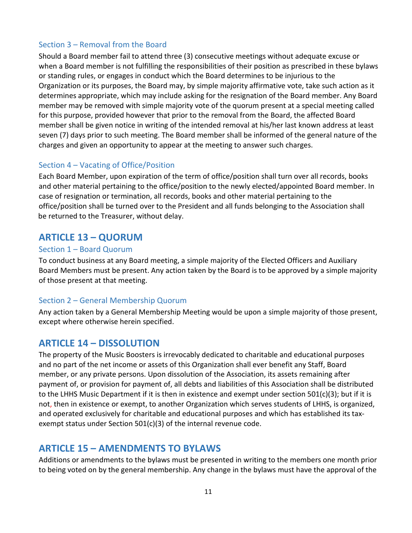### Section 3 – Removal from the Board

Should a Board member fail to attend three (3) consecutive meetings without adequate excuse or when a Board member is not fulfilling the responsibilities of their position as prescribed in these bylaws or standing rules, or engages in conduct which the Board determines to be injurious to the Organization or its purposes, the Board may, by simple majority affirmative vote, take such action as it determines appropriate, which may include asking for the resignation of the Board member. Any Board member may be removed with simple majority vote of the quorum present at a special meeting called for this purpose, provided however that prior to the removal from the Board, the affected Board member shall be given notice in writing of the intended removal at his/her last known address at least seven (7) days prior to such meeting. The Board member shall be informed of the general nature of the charges and given an opportunity to appear at the meeting to answer such charges.

# Section 4 – Vacating of Office/Position

Each Board Member, upon expiration of the term of office/position shall turn over all records, books and other material pertaining to the office/position to the newly elected/appointed Board member. In case of resignation or termination, all records, books and other material pertaining to the office/position shall be turned over to the President and all funds belonging to the Association shall be returned to the Treasurer, without delay.

# **ARTICLE 13 – QUORUM**

### Section 1 – Board Quorum

To conduct business at any Board meeting, a simple majority of the Elected Officers and Auxiliary Board Members must be present. Any action taken by the Board is to be approved by a simple majority of those present at that meeting.

### Section 2 – General Membership Quorum

Any action taken by a General Membership Meeting would be upon a simple majority of those present, except where otherwise herein specified.

# **ARTICLE 14 – DISSOLUTION**

The property of the Music Boosters is irrevocably dedicated to charitable and educational purposes and no part of the net income or assets of this Organization shall ever benefit any Staff, Board member, or any private persons. Upon dissolution of the Association, its assets remaining after payment of, or provision for payment of, all debts and liabilities of this Association shall be distributed to the LHHS Music Department if it is then in existence and exempt under section 501(c)(3); but if it is not, then in existence or exempt, to another Organization which serves students of LHHS, is organized, and operated exclusively for charitable and educational purposes and which has established its taxexempt status under Section 501(c)(3) of the internal revenue code.

# **ARTICLE 15 – AMENDMENTS TO BYLAWS**

Additions or amendments to the bylaws must be presented in writing to the members one month prior to being voted on by the general membership. Any change in the bylaws must have the approval of the